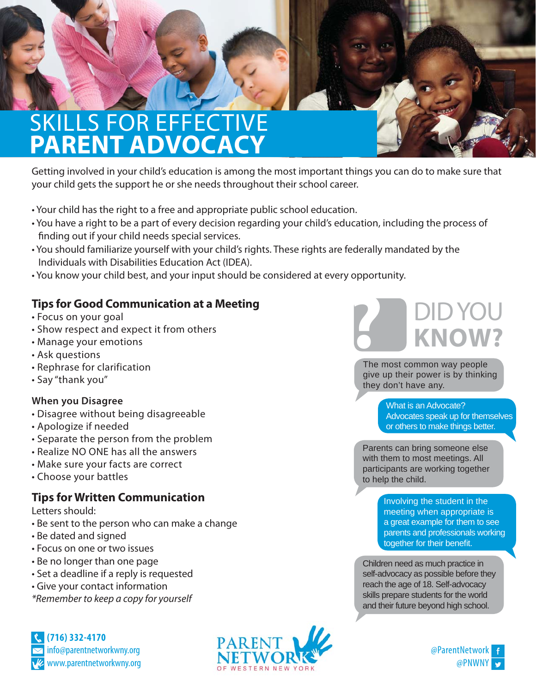# SKILLS FOR EFFECTIVE **PARENT ADVOCACY**

Getting involved in your child's education is among the most important things you can do to make sure that your child gets the support he or she needs throughout their school career.

- Your child has the right to a free and appropriate public school education.
- You have a right to be a part of every decision regarding your child's education, including the process of finding out if your child needs special services.
- You should familiarize yourself with your child's rights. These rights are federally mandated by the Individuals with Disabilities Education Act (IDEA).
- You know your child best, and your input should be considered at every opportunity.

### **Tips for Good Communication at a Meeting**

- Focus on your goal
- Show respect and expect it from others
- Manage your emotions
- Ask questions
- Rephrase for clarification
- Say "thank you"

#### **When you Disagree**

- Disagree without being disagreeable
- Apologize if needed
- Separate the person from the problem
- Realize NO ONE has all the answers
- Make sure your facts are correct
- Choose your battles

### **Tips for Written Communication**

Letters should:

- Be sent to the person who can make a change
- Be dated and signed
- Focus on one or two issues
- Be no longer than one page
- Set a deadline if a reply is requested
- Give your contact information

\*Remember to keep a copy for yourself







The most common way people give up their power is by thinking they don't have any.

> What is an Advocate? Advocates speak up for themselves or others to make things better.

Parents can bring someone else with them to most meetings. All participants are working together to help the child.

> Involving the student in the meeting when appropriate is a great example for them to see parents and professionals working together for their benefit.

Children need as much practice in self-advocacy as possible before they reach the age of 18. Self-advocacy skills prepare students for the world and their future beyond high school.